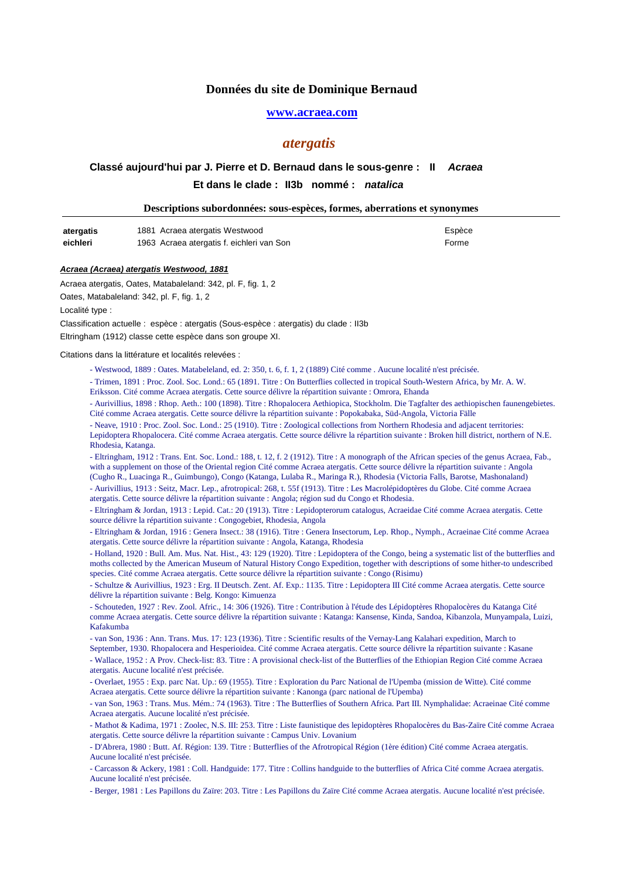## **Données du site de Dominique Bernaud**

### **www.acraea.com**

## *atergatis*

# Et dans le clade : ll3b nommé : natalica **Classé aujourd'hui par J. Pierre et D. Bernaud dans le sous-genre : II Acraea**

| Descriptions subordonnées: sous-espèces, formes, aberrations et synonymes |  |  |
|---------------------------------------------------------------------------|--|--|
|                                                                           |  |  |

| atergatis | 1881 Acraea atergatis Westwood            | Espèce |
|-----------|-------------------------------------------|--------|
| eichleri  | 1963 Acraea atergatis f. eichleri van Son | Forme  |

#### **Acraea (Acraea) atergatis Westwood, 1881**

Acraea atergatis, Oates, Matabaleland: 342, pl. F, fig. 1, 2

Oates, Matabaleland: 342, pl. F, fig. 1, 2

Localité type :

Classification actuelle : espèce : atergatis (Sous-espèce : atergatis) du clade : II3b

Eltringham (1912) classe cette espèce dans son groupe XI.

Citations dans la littérature et localités relevées :

- Westwood, 1889 : Oates. Matabeleland, ed. 2: 350, t. 6, f. 1, 2 (1889) Cité comme . Aucune localité n'est précisée.

- Trimen, 1891 : Proc. Zool. Soc. Lond.: 65 (1891. Titre : On Butterflies collected in tropical South-Western Africa, by Mr. A. W. Eriksson. Cité comme Acraea atergatis. Cette source délivre la répartition suivante : Omrora, Ehanda

- Aurivillius, 1898 : Rhop. Aeth.: 100 (1898). Titre : Rhopalocera Aethiopica, Stockholm. Die Tagfalter des aethiopischen faunengebietes. Cité comme Acraea atergatis. Cette source délivre la répartition suivante : Popokabaka, Süd-Angola, Victoria Fälle

- Neave, 1910 : Proc. Zool. Soc. Lond.: 25 (1910). Titre : Zoological collections from Northern Rhodesia and adjacent territories:

Lepidoptera Rhopalocera. Cité comme Acraea atergatis. Cette source délivre la répartition suivante : Broken hill district, northern of N.E. Rhodesia, Katanga.

- Eltringham, 1912 : Trans. Ent. Soc. Lond.: 188, t. 12, f. 2 (1912). Titre : A monograph of the African species of the genus Acraea, Fab., with a supplement on those of the Oriental region Cité comme Acraea atergatis. Cette source délivre la répartition suivante : Angola

(Cugho R., Luacinga R., Guimbungo), Congo (Katanga, Lulaba R., Maringa R.), Rhodesia (Victoria Falls, Barotse, Mashonaland) - Aurivillius, 1913 : Seitz, Macr. Lep., afrotropical: 268, t. 55f (1913). Titre : Les Macrolépidoptères du Globe. Cité comme Acraea atergatis. Cette source délivre la répartition suivante : Angola; région sud du Congo et Rhodesia.

- Eltringham & Jordan, 1913 : Lepid. Cat.: 20 (1913). Titre : Lepidopterorum catalogus, Acraeidae Cité comme Acraea atergatis. Cette source délivre la répartition suivante : Congogebiet, Rhodesia, Angola

- Eltringham & Jordan, 1916 : Genera Insect.: 38 (1916). Titre : Genera Insectorum, Lep. Rhop., Nymph., Acraeinae Cité comme Acraea atergatis. Cette source délivre la répartition suivante : Angola, Katanga, Rhodesia

- Holland, 1920 : Bull. Am. Mus. Nat. Hist., 43: 129 (1920). Titre : Lepidoptera of the Congo, being a systematic list of the butterflies and moths collected by the American Museum of Natural History Congo Expedition, together with descriptions of some hither-to undescribed species. Cité comme Acraea atergatis. Cette source délivre la répartition suivante : Congo (Risimu)

- Schultze & Aurivillius, 1923 : Erg. II Deutsch. Zent. Af. Exp.: 1135. Titre : Lepidoptera III Cité comme Acraea atergatis. Cette source délivre la répartition suivante : Belg. Kongo: Kimuenza

- Schouteden, 1927 : Rev. Zool. Afric., 14: 306 (1926). Titre : Contribution à l'étude des Lépidoptères Rhopalocères du Katanga Cité comme Acraea atergatis. Cette source délivre la répartition suivante : Katanga: Kansense, Kinda, Sandoa, Kibanzola, Munyampala, Luizi, Kafakumba

- van Son, 1936 : Ann. Trans. Mus. 17: 123 (1936). Titre : Scientific results of the Vernay-Lang Kalahari expedition, March to September, 1930. Rhopalocera and Hesperioidea. Cité comme Acraea atergatis. Cette source délivre la répartition suivante : Kasane

- Wallace, 1952 : A Prov. Check-list: 83. Titre : A provisional check-list of the Butterflies of the Ethiopian Region Cité comme Acraea atergatis. Aucune localité n'est précisée.

- Overlaet, 1955 : Exp. parc Nat. Up.: 69 (1955). Titre : Exploration du Parc National de l'Upemba (mission de Witte). Cité comme Acraea atergatis. Cette source délivre la répartition suivante : Kanonga (parc national de l'Upemba)

- van Son, 1963 : Trans. Mus. Mém.: 74 (1963). Titre : The Butterflies of Southern Africa. Part III. Nymphalidae: Acraeinae Cité comme Acraea atergatis. Aucune localité n'est précisée.

- Mathot & Kadima, 1971 : Zoolec, N.S. III: 253. Titre : Liste faunistique des lepidoptères Rhopalocères du Bas-Zaïre Cité comme Acraea atergatis. Cette source délivre la répartition suivante : Campus Univ. Lovanium

- D'Abrera, 1980 : Butt. Af. Région: 139. Titre : Butterflies of the Afrotropical Région (1ère édition) Cité comme Acraea atergatis. Aucune localité n'est précisée.

- Carcasson & Ackery, 1981 : Coll. Handguide: 177. Titre : Collins handguide to the butterflies of Africa Cité comme Acraea atergatis. Aucune localité n'est précisée.

- Berger, 1981 : Les Papillons du Zaïre: 203. Titre : Les Papillons du Zaïre Cité comme Acraea atergatis. Aucune localité n'est précisée.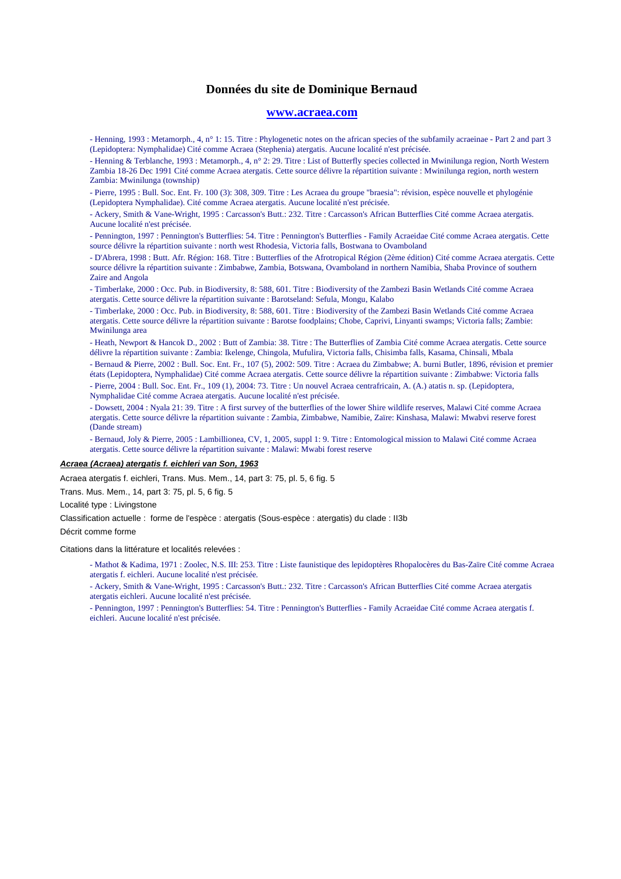## **Données du site de Dominique Bernaud**

#### **www.acraea.com**

- Henning, 1993 : Metamorph., 4, n° 1: 15. Titre : Phylogenetic notes on the african species of the subfamily acraeinae - Part 2 and part 3 (Lepidoptera: Nymphalidae) Cité comme Acraea (Stephenia) atergatis. Aucune localité n'est précisée.

- Henning & Terblanche, 1993 : Metamorph., 4, n° 2: 29. Titre : List of Butterfly species collected in Mwinilunga region, North Western Zambia 18-26 Dec 1991 Cité comme Acraea atergatis. Cette source délivre la répartition suivante : Mwinilunga region, north western Zambia: Mwinilunga (township)

- Pierre, 1995 : Bull. Soc. Ent. Fr. 100 (3): 308, 309. Titre : Les Acraea du groupe "braesia": révision, espèce nouvelle et phylogénie (Lepidoptera Nymphalidae). Cité comme Acraea atergatis. Aucune localité n'est précisée.

- Ackery, Smith & Vane-Wright, 1995 : Carcasson's Butt.: 232. Titre : Carcasson's African Butterflies Cité comme Acraea atergatis. Aucune localité n'est précisée.

- Pennington, 1997 : Pennington's Butterflies: 54. Titre : Pennington's Butterflies - Family Acraeidae Cité comme Acraea atergatis. Cette source délivre la répartition suivante : north west Rhodesia, Victoria falls, Bostwana to Ovamboland

- D'Abrera, 1998 : Butt. Afr. Région: 168. Titre : Butterflies of the Afrotropical Région (2ème édition) Cité comme Acraea atergatis. Cette source délivre la répartition suivante : Zimbabwe, Zambia, Botswana, Ovamboland in northern Namibia, Shaba Province of southern Zaire and Angola

- Timberlake, 2000 : Occ. Pub. in Biodiversity, 8: 588, 601. Titre : Biodiversity of the Zambezi Basin Wetlands Cité comme Acraea atergatis. Cette source délivre la répartition suivante : Barotseland: Sefula, Mongu, Kalabo

- Timberlake, 2000 : Occ. Pub. in Biodiversity, 8: 588, 601. Titre : Biodiversity of the Zambezi Basin Wetlands Cité comme Acraea atergatis. Cette source délivre la répartition suivante : Barotse foodplains; Chobe, Caprivi, Linyanti swamps; Victoria falls; Zambie: Mwinilunga area

- Heath, Newport & Hancok D., 2002 : Butt of Zambia: 38. Titre : The Butterflies of Zambia Cité comme Acraea atergatis. Cette source délivre la répartition suivante : Zambia: Ikelenge, Chingola, Mufulira, Victoria falls, Chisimba falls, Kasama, Chinsali, Mbala

- Bernaud & Pierre, 2002 : Bull. Soc. Ent. Fr., 107 (5), 2002: 509. Titre : Acraea du Zimbabwe; A. burni Butler, 1896, révision et premier états (Lepidoptera, Nymphalidae) Cité comme Acraea atergatis. Cette source délivre la répartition suivante : Zimbabwe: Victoria falls - Pierre, 2004 : Bull. Soc. Ent. Fr., 109 (1), 2004: 73. Titre : Un nouvel Acraea centrafricain, A. (A.) atatis n. sp. (Lepidoptera,

Nymphalidae Cité comme Acraea atergatis. Aucune localité n'est précisée.

- Dowsett, 2004 : Nyala 21: 39. Titre : A first survey of the butterflies of the lower Shire wildlife reserves, Malawi Cité comme Acraea atergatis. Cette source délivre la répartition suivante : Zambia, Zimbabwe, Namibie, Zaïre: Kinshasa, Malawi: Mwabvi reserve forest (Dande stream)

- Bernaud, Joly & Pierre, 2005 : Lambillionea, CV, 1, 2005, suppl 1: 9. Titre : Entomological mission to Malawi Cité comme Acraea atergatis. Cette source délivre la répartition suivante : Malawi: Mwabi forest reserve

#### **Acraea (Acraea) atergatis f. eichleri van Son, 1963**

Acraea atergatis f. eichleri, Trans. Mus. Mem., 14, part 3: 75, pl. 5, 6 fig. 5

Trans. Mus. Mem., 14, part 3: 75, pl. 5, 6 fig. 5

Localité type : Livingstone

Classification actuelle : forme de l'espèce : atergatis (Sous-espèce : atergatis) du clade : II3b

Décrit comme forme

Citations dans la littérature et localités relevées :

- Mathot & Kadima, 1971 : Zoolec, N.S. III: 253. Titre : Liste faunistique des lepidoptères Rhopalocères du Bas-Zaïre Cité comme Acraea atergatis f. eichleri. Aucune localité n'est précisée.
- Ackery, Smith & Vane-Wright, 1995 : Carcasson's Butt.: 232. Titre : Carcasson's African Butterflies Cité comme Acraea atergatis atergatis eichleri. Aucune localité n'est précisée.

- Pennington, 1997 : Pennington's Butterflies: 54. Titre : Pennington's Butterflies - Family Acraeidae Cité comme Acraea atergatis f. eichleri. Aucune localité n'est précisée.